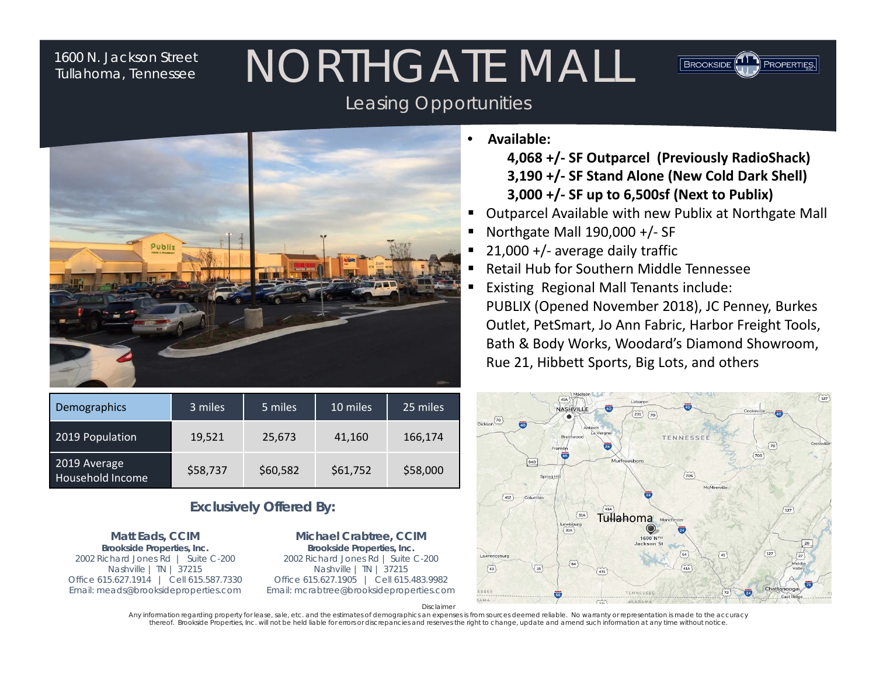### *1600 N. Jackson Street Tullahoma, Tennessee*

# NORTHGATE MALL



### Leasing Opportunities



| Demographics                       | 3 miles  | 5 miles  | 10 miles | 25 miles |
|------------------------------------|----------|----------|----------|----------|
| 2019 Population                    | 19,521   | 25,673   | 41,160   | 166,174  |
| $2019$ Average<br>Household Income | \$58,737 | \$60,582 | \$61,752 | \$58,000 |

### **Exclusively Offered By:**

**Matt Eads, CCIM Brookside Properties, Inc.**  2002 Richard Jones Rd | Suite C-200 Nashville | TN | 37215 Office 615.627.1914 | Cell 615.587.7330 Email: meads@brooksideproperties.com

**Michael Crabtree, CCIM Brookside Properties, Inc.**  2002 Richard Jones Rd | Suite C-200 Nashville | TN | 37215 Office 615.627.1905 | Cell 615.483.9982 Email: mcrabtree@brooksideproperties.com •**Available:**

> **4,068 +/‐ SF Outparcel (Previously RadioShack) 3,190 +/‐ SF Stand Alone (New Cold Dark Shell) 3,000 +/‐ SF up to 6,500sf (Next to Publix)**

- Outparcel Available with new Publix at Northgate Mall
- Northgate Mall 190,000 +/‐ SF
- Г 21,000 +/‐ average daily traffic
- Retail Hub for Southern Middle Tennessee
- Existing Regional Mall Tenants include: PUBLIX (Opened November 2018), JC Penney, Burkes Outlet, PetSmart, Jo Ann Fabric, Harbor Freight Tools, Bath & Body Works, Woodard's Diamond Showroom, Rue 21, Hibbett Sports, Big Lots, and others



*Disclaimer*

*Any information regarding property for lease, sale, etc. and the estimates of demographics an expenses is from sources deemed reliable. No warranty or representation is made to the accuracy thereof. Brookside Properties, Inc. will not be held liable for errors or discrepancies and reserves the right to change, update and amend such information at any time without notice.*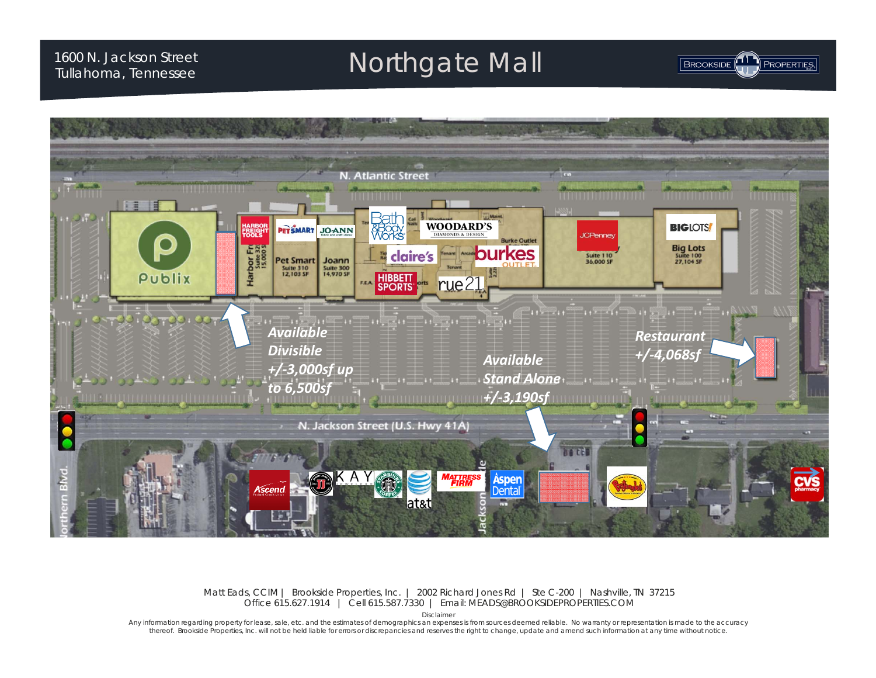# Northgate Mall *1600 N. Jackson Street Tullahoma, Tennessee*





Matt Eads, CCIM | Brookside Properties, Inc. | 2002 Richard Jones Rd | Ste C-200 | Nashville, TN 37215 Office 615.627.1914 | Cell 615.587.7330 | Email: MEADS@BROOKSIDEPROPERTIES.COM

*Disclaimer*

 *Any information regarding property for lease, sale, etc. and the estimates of demographics an expenses is from sources deemed reliable. No warranty or representation is made to the accuracy thereof. Brookside Properties, Inc. will not be held liable for errors or discrepancies and reserves the right to change, update and amend such information at any time without notice.*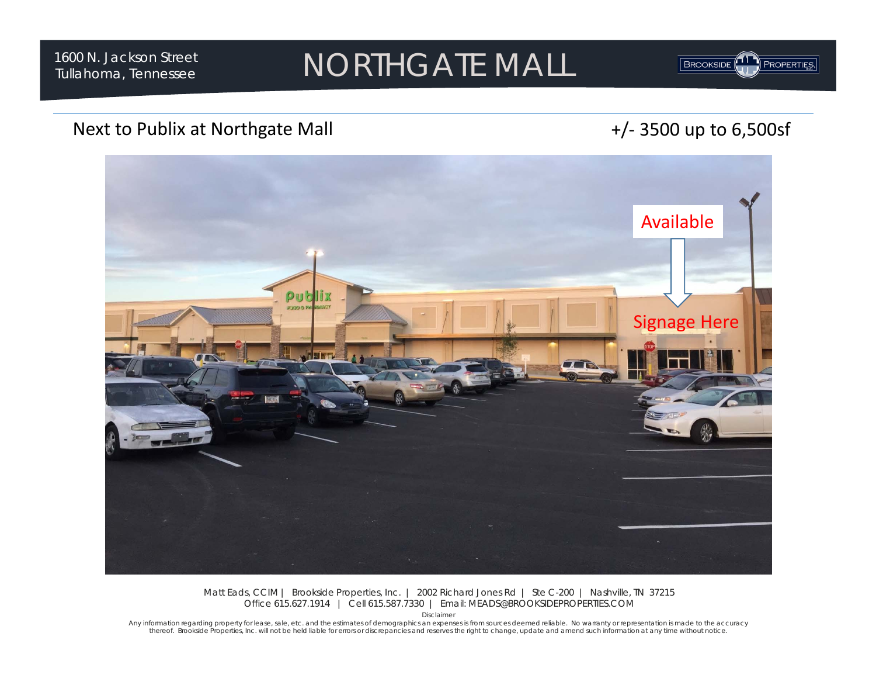# NORTHGATE MALL *1600 N. Jackson Street Tullahoma, Tennessee*



**BROOKSIDE** 

 $\sqcap$  )

PROPERTIES,



### Matt Eads, CCIM | Brookside Properties, Inc. | 2002 Richard Jones Rd | Ste C-200 | Nashville, TN 37215 Office 615.627.1914 | Cell 615.587.7330 | Email: MEADS@BROOKSIDEPROPERTIES.COM

*Disclaimer*

Any information regarding property for lease, sale, etc. and the estimates of demographics an expenses is from sources deemed reliable. No warranty or representation is made to the accuracy *thereof. Brookside Properties, Inc. will not be held liable for errors or discrepancies and reserves the right to change, update and amend such information at any time without notice.*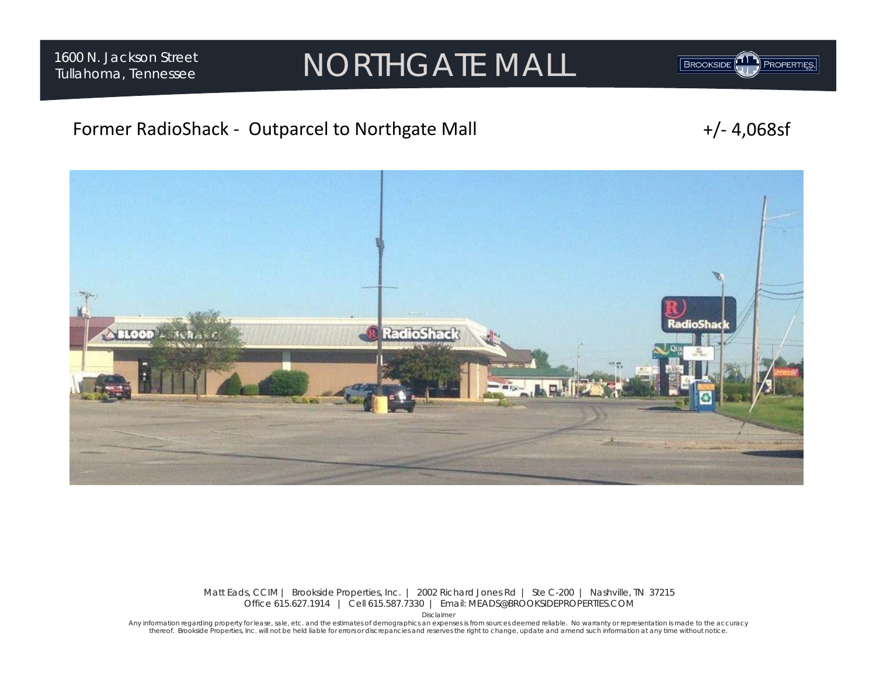# NORTHGATE MALL *1600 N. Jackson Street Tullahoma, Tennessee*

7 T **BROOKSIDE** PROPERTIES,

### Former RadioShack - Outparcel to Northgate Mall  $+/- 4,068$ sf



Matt Eads, CCIM | Brookside Properties, Inc. | 2002 Richard Jones Rd | Ste C-200 | Nashville, TN 37215 Office 615.627.1914 | Cell 615.587.7330 | Email: MEADS@BROOKSIDEPROPERTIES.COM

*Disclaimer*

Any information regarding property for lease, sale, etc. and the estimates of demographics an expenses is from sources deemed reliable. No warranty or representation is made to the accuracy<br>thereof. Brookside Properties, I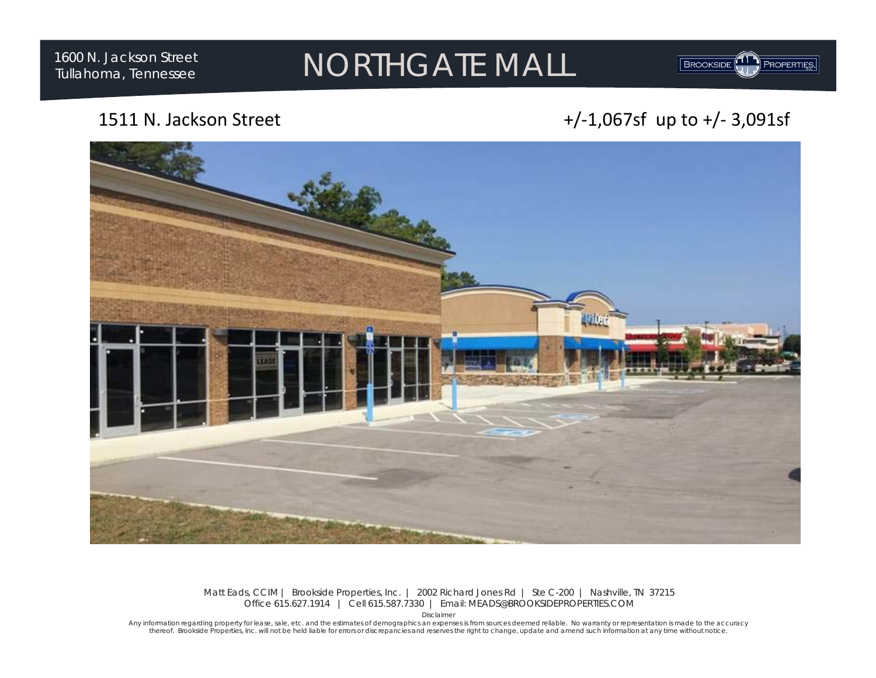# NORTHGATE MALL *1600 N. Jackson Street Tullahoma, Tennessee*

### 1511 N. Jackson

### +/-1,067sf up to +/- 3,091sf

**BROOKSIDE** 

PROPERTIES,



### Matt Eads, CCIM | Brookside Properties, Inc. | 2002 Richard Jones Rd | Ste C-200 | Nashville, TN 37215 Office 615.627.1914 | Cell 615.587.7330 | Email: MEADS@BROOKSIDEPROPERTIES.COM

*Disclaimer*

Any information regarding property for lease, sale, etc. and the estimates of demographics an expenses is from sources deemed reliable. No warranty or representation is made to the accuracy<br>thereof. Brookside Properties, I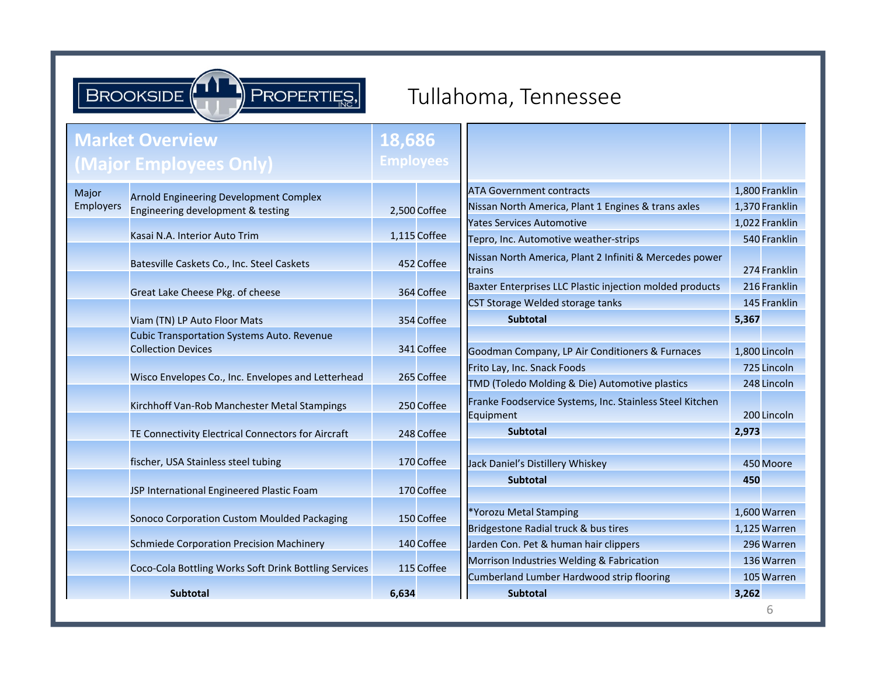PROPERTIES,

ו ד

**BROOKSIDE** 

Tullahoma, Tennessee

|                  | <b>Market Overview</b>                                | 18,686           |              |                                                                       |       |                |
|------------------|-------------------------------------------------------|------------------|--------------|-----------------------------------------------------------------------|-------|----------------|
|                  | (Major Employees Only)                                | <b>Employees</b> |              |                                                                       |       |                |
| Major            | Arnold Engineering Development Complex                |                  |              | <b>ATA Government contracts</b>                                       |       | 1,800 Franklin |
| <b>Employers</b> | Engineering development & testing                     |                  | 2,500 Coffee | Nissan North America, Plant 1 Engines & trans axles                   |       | 1,370 Franklin |
|                  | Kasai N.A. Interior Auto Trim                         |                  |              | Yates Services Automotive                                             |       | 1,022 Franklin |
|                  |                                                       |                  | 1,115 Coffee | Tepro, Inc. Automotive weather-strips                                 |       | 540 Franklin   |
|                  | Batesville Caskets Co., Inc. Steel Caskets            |                  | 452 Coffee   | Nissan North America, Plant 2 Infiniti & Mercedes power<br>trains     |       | 274 Franklin   |
|                  | Great Lake Cheese Pkg. of cheese                      |                  | 364 Coffee   | Baxter Enterprises LLC Plastic injection molded products              |       | 216 Franklin   |
|                  |                                                       |                  |              | CST Storage Welded storage tanks                                      |       | 145 Franklin   |
|                  | Viam (TN) LP Auto Floor Mats                          |                  | 354 Coffee   | <b>Subtotal</b>                                                       | 5,367 |                |
|                  | <b>Cubic Transportation Systems Auto. Revenue</b>     |                  |              |                                                                       |       |                |
|                  | <b>Collection Devices</b>                             |                  | 341 Coffee   | Goodman Company, LP Air Conditioners & Furnaces                       |       | 1,800 Lincoln  |
|                  | Wisco Envelopes Co., Inc. Envelopes and Letterhead    |                  | 265 Coffee   | Frito Lay, Inc. Snack Foods                                           |       | 725 Lincoln    |
|                  |                                                       |                  |              | TMD (Toledo Molding & Die) Automotive plastics                        |       | 248 Lincoln    |
|                  | Kirchhoff Van-Rob Manchester Metal Stampings          |                  | 250 Coffee   | Franke Foodservice Systems, Inc. Stainless Steel Kitchen<br>Equipment |       | 200 Lincoln    |
|                  | TE Connectivity Electrical Connectors for Aircraft    |                  | 248 Coffee   | <b>Subtotal</b>                                                       | 2,973 |                |
|                  | fischer, USA Stainless steel tubing                   |                  | 170 Coffee   | Jack Daniel's Distillery Whiskey                                      |       | 450 Moore      |
|                  | JSP International Engineered Plastic Foam             |                  | 170 Coffee   | <b>Subtotal</b>                                                       | 450   |                |
|                  | Sonoco Corporation Custom Moulded Packaging           |                  | 150 Coffee   | *Yorozu Metal Stamping                                                |       | 1,600 Warren   |
|                  |                                                       |                  |              | Bridgestone Radial truck & bus tires                                  |       | 1,125 Warren   |
|                  | <b>Schmiede Corporation Precision Machinery</b>       |                  | 140 Coffee   | Jarden Con. Pet & human hair clippers                                 |       | 296 Warren     |
|                  | Coco-Cola Bottling Works Soft Drink Bottling Services |                  |              | Morrison Industries Welding & Fabrication                             |       | 136 Warren     |
|                  |                                                       | 115 Coffee       |              | Cumberland Lumber Hardwood strip flooring                             |       | 105 Warren     |
|                  | <b>Subtotal</b>                                       | 6,634            |              | <b>Subtotal</b>                                                       | 3,262 |                |
|                  |                                                       |                  |              |                                                                       |       | 6              |

1,800 Franklin

216 Franklin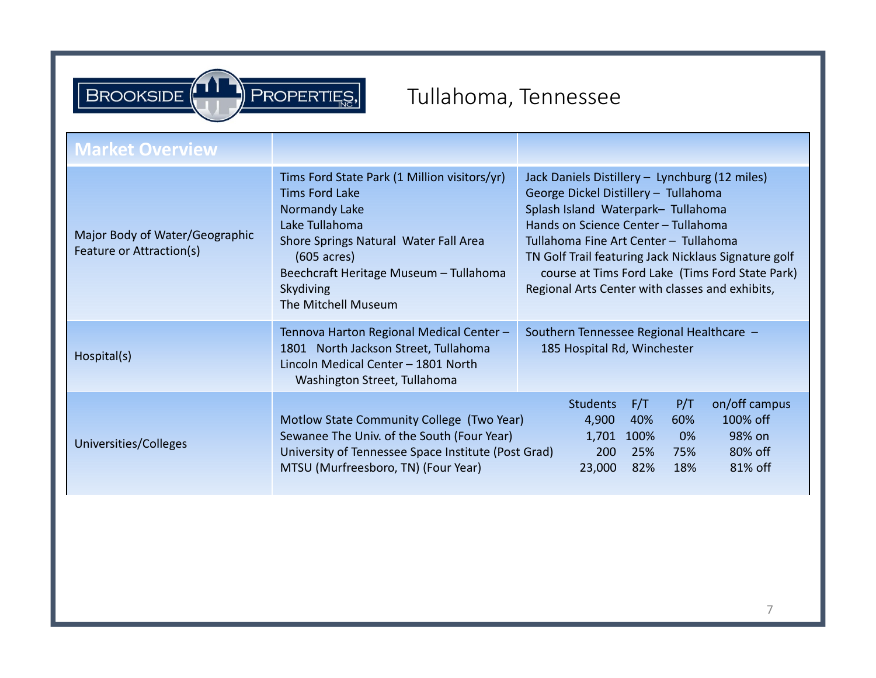### **BROOKSIDE** PROPERTIES,

# Tullahoma, Tennessee

| <b>Market Overview</b>                                     |                                                                                                                                                                                                                                                          |                                                                                                                                                                                                                                                                                                                                                                            |  |  |  |  |
|------------------------------------------------------------|----------------------------------------------------------------------------------------------------------------------------------------------------------------------------------------------------------------------------------------------------------|----------------------------------------------------------------------------------------------------------------------------------------------------------------------------------------------------------------------------------------------------------------------------------------------------------------------------------------------------------------------------|--|--|--|--|
| Major Body of Water/Geographic<br>Feature or Attraction(s) | Tims Ford State Park (1 Million visitors/yr)<br><b>Tims Ford Lake</b><br>Normandy Lake<br>Lake Tullahoma<br>Shore Springs Natural Water Fall Area<br>$(605 \text{ acres})$<br>Beechcraft Heritage Museum - Tullahoma<br>Skydiving<br>The Mitchell Museum | Jack Daniels Distillery - Lynchburg (12 miles)<br>George Dickel Distillery - Tullahoma<br>Splash Island Waterpark- Tullahoma<br>Hands on Science Center - Tullahoma<br>Tullahoma Fine Art Center - Tullahoma<br>TN Golf Trail featuring Jack Nicklaus Signature golf<br>course at Tims Ford Lake (Tims Ford State Park)<br>Regional Arts Center with classes and exhibits, |  |  |  |  |
| Hospital(s)                                                | Tennova Harton Regional Medical Center -<br>Southern Tennessee Regional Healthcare -<br>1801 North Jackson Street, Tullahoma<br>185 Hospital Rd, Winchester<br>Lincoln Medical Center - 1801 North<br>Washington Street, Tullahoma                       |                                                                                                                                                                                                                                                                                                                                                                            |  |  |  |  |
| Universities/Colleges                                      | Motlow State Community College (Two Year)<br>Sewanee The Univ. of the South (Four Year)<br>University of Tennessee Space Institute (Post Grad)<br>MTSU (Murfreesboro, TN) (Four Year)                                                                    | F/T<br>P/T<br>on/off campus<br><b>Students</b><br>100% off<br>4,900<br>40%<br>60%<br>98% on<br>1,701<br>100%<br>0%<br>200<br>25%<br>75%<br>80% off<br>81% off<br>23,000<br>82%<br>18%                                                                                                                                                                                      |  |  |  |  |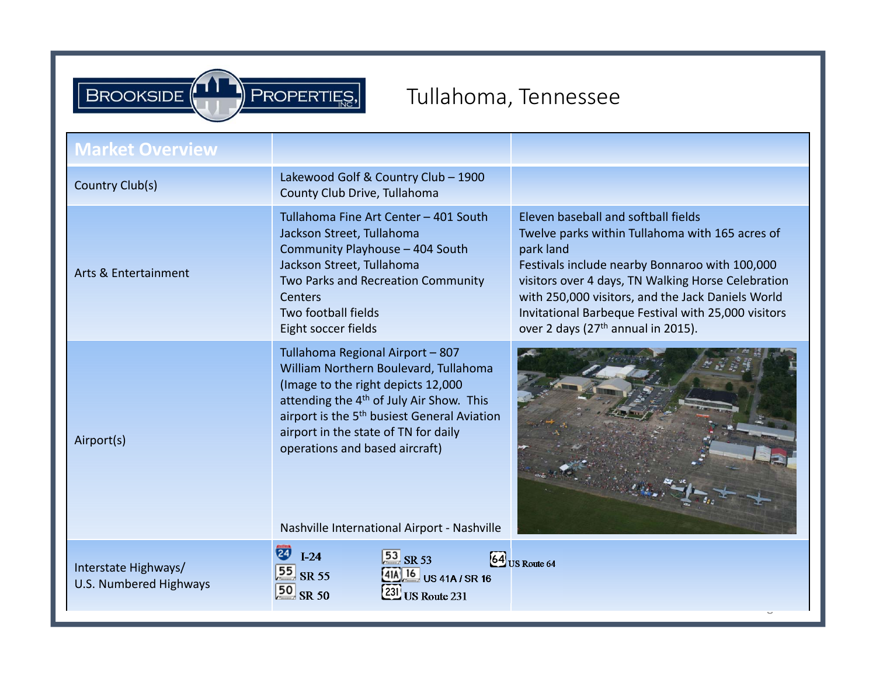# Tullahoma, Tennessee

| <b>Market Overview</b>                         |                                                                                                                                                                                                                                                                                                                                                             |                                                                                                                                                                                                                                                                                                                                                                           |  |  |
|------------------------------------------------|-------------------------------------------------------------------------------------------------------------------------------------------------------------------------------------------------------------------------------------------------------------------------------------------------------------------------------------------------------------|---------------------------------------------------------------------------------------------------------------------------------------------------------------------------------------------------------------------------------------------------------------------------------------------------------------------------------------------------------------------------|--|--|
| Country Club(s)                                | Lakewood Golf & Country Club - 1900<br>County Club Drive, Tullahoma                                                                                                                                                                                                                                                                                         |                                                                                                                                                                                                                                                                                                                                                                           |  |  |
| Arts & Entertainment                           | Tullahoma Fine Art Center - 401 South<br>Jackson Street, Tullahoma<br>Community Playhouse - 404 South<br>Jackson Street, Tullahoma<br>Two Parks and Recreation Community<br><b>Centers</b><br>Two football fields<br>Eight soccer fields                                                                                                                    | Eleven baseball and softball fields<br>Twelve parks within Tullahoma with 165 acres of<br>park land<br>Festivals include nearby Bonnaroo with 100,000<br>visitors over 4 days, TN Walking Horse Celebration<br>with 250,000 visitors, and the Jack Daniels World<br>Invitational Barbeque Festival with 25,000 visitors<br>over 2 days (27 <sup>th</sup> annual in 2015). |  |  |
| Airport(s)                                     | Tullahoma Regional Airport - 807<br>William Northern Boulevard, Tullahoma<br>(Image to the right depicts 12,000<br>attending the 4 <sup>th</sup> of July Air Show. This<br>airport is the 5 <sup>th</sup> busiest General Aviation<br>airport in the state of TN for daily<br>operations and based aircraft)<br>Nashville International Airport - Nashville |                                                                                                                                                                                                                                                                                                                                                                           |  |  |
| Interstate Highways/<br>U.S. Numbered Highways | 24<br>$I-24$<br>$\frac{53}{5}$ SR 53<br>$\frac{55}{5}$ SR 55<br>$41A$ , $16$ , US 41A / SR 16<br>$50$ SR 50<br>231 US Route 231                                                                                                                                                                                                                             | $64$ US Route 64                                                                                                                                                                                                                                                                                                                                                          |  |  |

**BROOKSIDE** 

PROPERTIES,